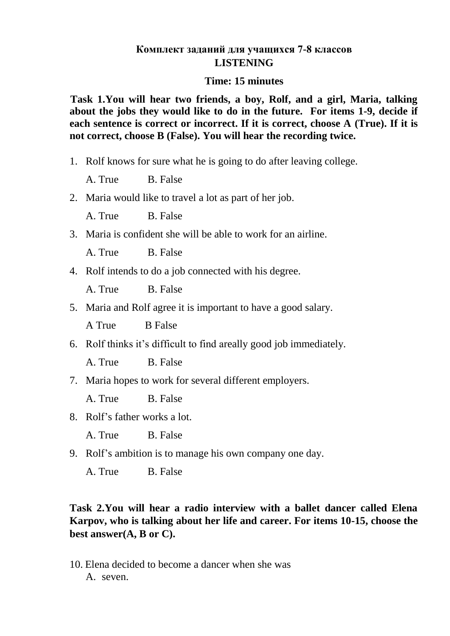#### **Комплект заданий для учащихся 7-8 классов LISTENING**

#### **Time: 15 minutes**

**Task 1.You will hear two friends, a boy, Rolf, and a girl, Maria, talking about the jobs they would like to do in the future. For items 1-9, decide if each sentence is correct or incorrect. If it is correct, choose A (True). If it is not correct, choose B (False). You will hear the recording twice.**

1. Rolf knows for sure what he is going to do after leaving college.

A. True B. False

2. Maria would like to travel a lot as part of her job.

A. True B. False

3. Maria is confident she will be able to work for an airline.

A. True B. False

4. Rolf intends to do a job connected with his degree.

A. True B. False

5. Maria and Rolf agree it is important to have a good salary.

A True B False

6. Rolf thinks it's difficult to find areally good job immediately.

A. True B. False

7. Maria hopes to work for several different employers.

A. True B. False

8. Rolf's father works a lot.

A. True B. False

9. Rolf's ambition is to manage his own company one day.

A. True B. False

### **Task 2.You will hear a radio interview with a ballet dancer called Elena Karpov, who is talking about her life and career. For items 10-15, choose the best answer(A, B or C).**

10. Elena decided to become a dancer when she was A. seven.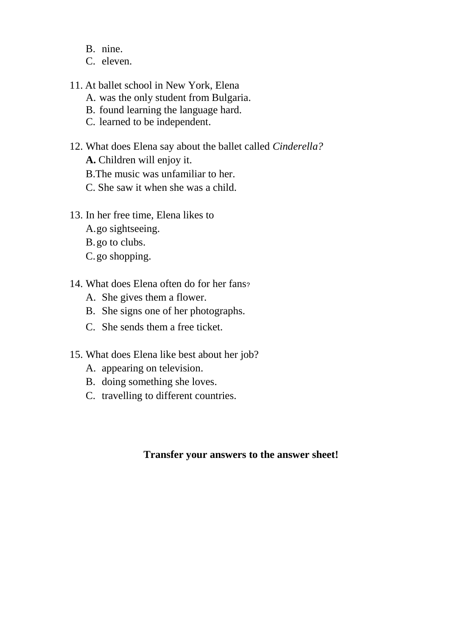- B. nine.
- C. eleven.
- 11. At ballet school in New York, Elena
	- A. was the only student from Bulgaria.
	- B. found learning the language hard.
	- C. learned to be independent.
- 12. What does Elena say about the ballet called *Cinderella?*
	- **A.** Children will enjoy it.
	- B.The music was unfamiliar to her.
	- C. She saw it when she was a child.
- 13. In her free time, Elena likes to
	- A.go sightseeing.
	- B.go to clubs.
	- C.go shopping.
- 14. What does Elena often do for her fans?
	- A. She gives them a flower.
	- B. She signs one of her photographs.
	- C. She sends them a free ticket.
- 15. What does Elena like best about her job?
	- A. appearing on television.
	- B. doing something she loves.
	- C. travelling to different countries.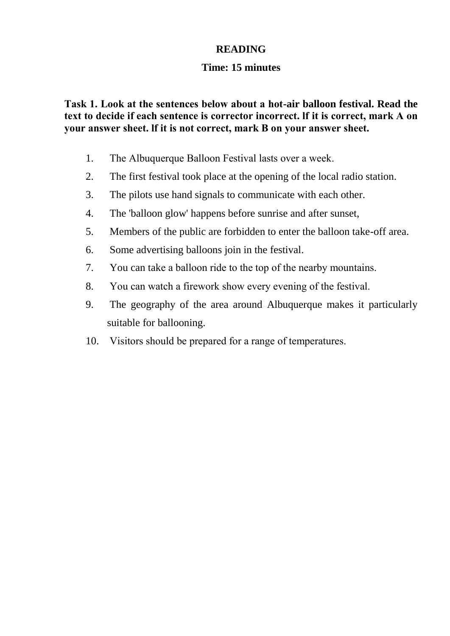### **READING**

#### **Time: 15 minutes**

**Task 1. Look at the sentences below about а hot-air balloon festival. Read the text to decide if each sentence is соrrесtоr incorrect. lf it is correct, mark А on your answer sheet. lf it is not correct, mаrk В on your аnswеr sheet.**

- 1. The Albuquerque Ваllооn Festival lasts over а week.
- 2. The first festival took place at the opening of the local radio station.
- 3. The pilots use hand signals to communicate with each other.
- 4. The 'balloon glow' happens before sunrise and after sunset,
- 5. Members of the public are forbidden to enter the balloon take-off area.
- 6. Some advertising balloons join in the festival.
- 7. You can take а balloon ride to the top of the nearby mountains.
- 8. You can watch а firework show every evening of the festival.
- 9. The geography of the area around Albuquerque makes it particularly suitable for ballooning.
- 10. Visitors should be prepared for а range of temperatures.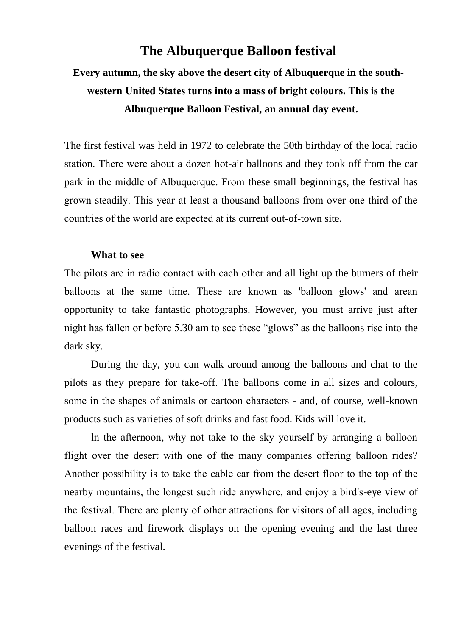### **The Albuquerque Balloon festival**

# **Every autumn, the sky above the desert city of Albuquerque in the southwestern United States turns into а mass of bright colours. This is the Albuquerque Balloon Festival, an annual day event.**

The first festival was held in 1972 to celebrate the 50th birthday of the local radio station. There were about а dozen hot-air balloons and they took off from the car park in the middle of Albuquerque. Frоm these small beginnings, the festival has grown steadily. This уеаr at least а thousand balloons from over one third of the countries of the world are expected at its сurrеnt out-of-town site.

#### **What to see**

The pilots are in radio contact with еасh оthеr and all light up the burners of their balloons at the same time. These аrе known as 'balloon glows' and аrеаn opportunity to take fantastic photographs. However, you must arrive just after night has fallen or before 5.З0 am to see these "glows" as the balloons rise into the dark sky.

During the day, you can walk around among the balloons and chat to the pilots as they рrераrе for take-off. The balloons come in all sizes and colours, some in the shapes of animals or саrtооn characters - and, of course, well-known products such as varieties of soft drinks and fast food. Kids will love it.

ln the afternoon, why not take to the sky yourself by arranging а balloon flight over the desert with one of the mаnу companies offering balloon rides? Аnоthеr possibility is to take the cable саr frоm the desert floor to the top of the nearby mountains, the longest such ride anywhere, and enjoy а bird's-eye view of the festival. Тhеrе are plenty of other attractions for visitors of all ages, including balloon races and firework displays on the opening evening and the last three evenings of the festival.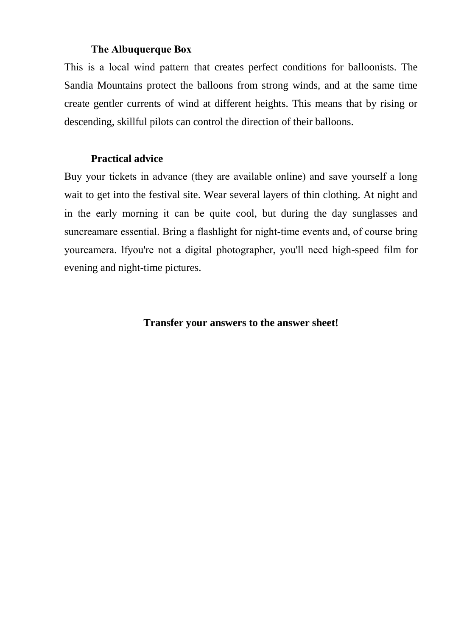#### **The Albuquerque Вох**

This is а local wind раttеrn that creates perfect conditions for balloonists. The Sandia Mountains protect the balloons from strong winds, and at the same time create gentler currents of wind at different heights. This means that by rising or descending, skillful pilots can control the direction of their balloons.

#### **Practical advice**

Buy your tickets in advance (they are available online) and save yourself а long wait to get into the festival site. Wear several layers of thin clothing. At night and in the еаrlу morning it can be quite cool, but during the day sunglasses and suncreamаrе essential. Bring а flashlight for night-time events and, of соursе bring уоurсаmеrа. lfуоu'rе not а digital photographer, you'll nееd high-speed film for evening and night-time pictures.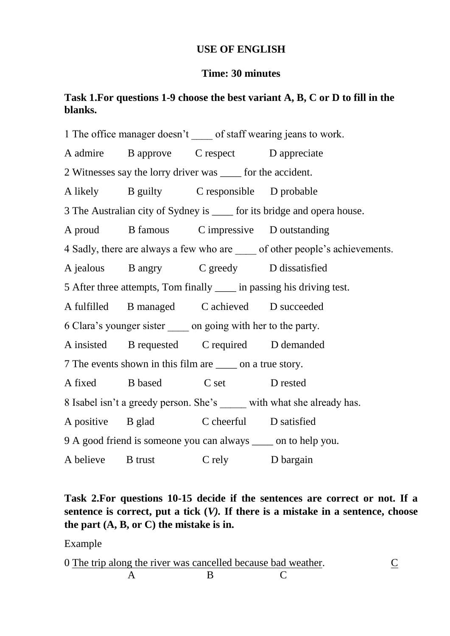### **USE OF ENGLISH**

#### **Time: 30 minutes**

### **Task 1.For questions 1-9 choose the best variant A, B, C or D to fill in the blanks.**

1 The office manager doesn't of staff wearing jeans to work. A admire B approve C respect D appreciate 2 Witnesses say the lorry driver was \_\_\_\_ for the accident. A likely B guilty C responsible D probable 3 The Australian city of Sydney is for its bridge and opera house. A proud B famous C impressive D outstanding 4 Sadly, there are always a few who are  $\qquad$  of other people's achievements. A jealous B angry C greedy D dissatisfied 5 After three attempts, Tom finally \_\_\_\_ in passing his driving test. A fulfilled B managed C achieved D succeeded 6 Clara's younger sister \_\_\_\_ on going with her to the party. A insisted B requested C required D demanded 7 The events shown in this film are \_\_\_\_ on a true story. A fixed B based C set D rested 8 Isabel isn't a greedy person. She's with what she already has. A positive B glad C cheerful D satisfied 9 A good friend is someone you can always \_\_\_\_ on to help you. A believe B trust C rely D bargain

### **Task 2.For questions 10-15 decide if the sentences are correct or not. If a sentence is correct, put a tick (***V).* **If there is a mistake in a sentence, choose the part (A, B, or C) the mistake is in.**

Example

| 0 The trip along the river was cancelled because bad weather. |  |  |
|---------------------------------------------------------------|--|--|
|                                                               |  |  |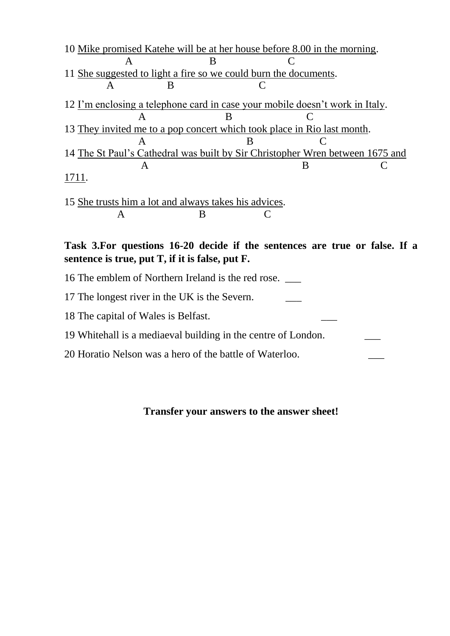| A                                                                             |  |  |  |  |
|-------------------------------------------------------------------------------|--|--|--|--|
| 11 She suggested to light a fire so we could burn the documents.              |  |  |  |  |
|                                                                               |  |  |  |  |
| 12 I'm enclosing a telephone card in case your mobile doesn't work in Italy.  |  |  |  |  |
| к                                                                             |  |  |  |  |
| 13 They invited me to a pop concert which took place in Rio last month.       |  |  |  |  |
| A                                                                             |  |  |  |  |
| 14 The St Paul's Cathedral was built by Sir Christopher Wren between 1675 and |  |  |  |  |
|                                                                               |  |  |  |  |
| 1711.                                                                         |  |  |  |  |
|                                                                               |  |  |  |  |

15 She trusts him a lot and always takes his advices. A B C

**Task 3.For questions 16-20 decide if the sentences are true or false. If a sentence is true, put T, if it is false, put F.**

- 16 The emblem of Northern Ireland is the red rose. \_\_\_
- 17 The longest river in the UK is the Severn.
- 18 The capital of Wales is Belfast.
- 19 Whitehall is a mediaeval building in the centre of London. \_\_\_
- 20 Horatio Nelson was a hero of the battle of Waterloo.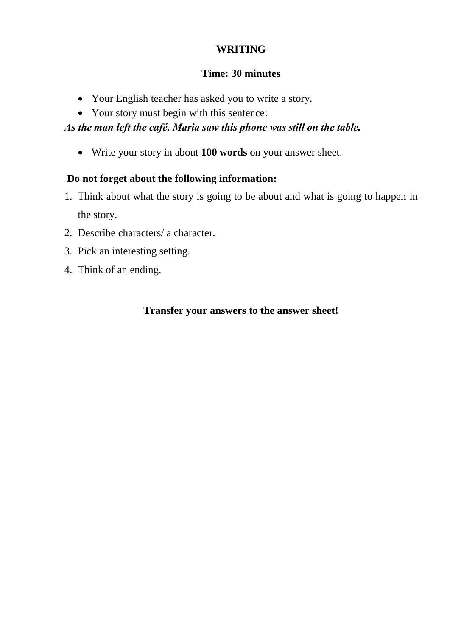### **WRITING**

### **Time: 30 minutes**

- Your English teacher has asked you to write a story.
- Your story must begin with this sentence:

### *As the man left the café, Maria saw this phone was still on the table.*

Write your story in about **100 words** on your answer sheet.

### **Do not forget about the following information:**

- 1. Think about what the story is going to be about and what is going to happen in the story.
- 2. Describe characters/ a character.
- 3. Pick an interesting setting.
- 4. Think of an ending.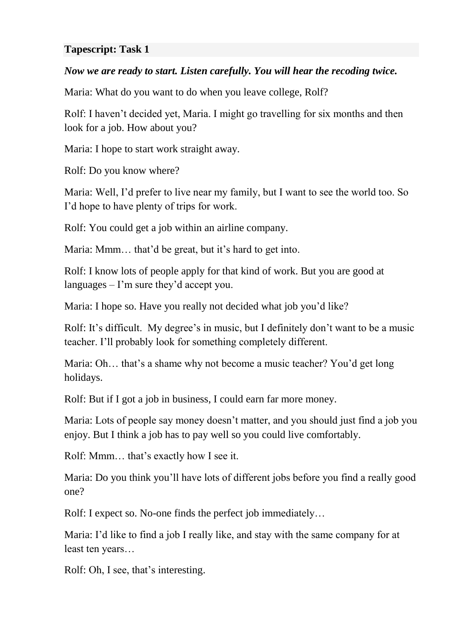#### **Tapescript: Task 1**

#### *Now we are ready to start. Listen carefully. You will hear the recoding twice.*

Maria: What do you want to do when you leave college, Rolf?

Rolf: I haven't decided yet, Maria. I might go travelling for six months and then look for a job. How about you?

Maria: I hope to start work straight away.

Rolf: Do you know where?

Maria: Well, I'd prefer to live near my family, but I want to see the world too. So I'd hope to have plenty of trips for work.

Rolf: You could get a job within an airline company.

Maria: Mmm… that'd be great, but it's hard to get into.

Rolf: I know lots of people apply for that kind of work. But you are good at languages – I'm sure they'd accept you.

Maria: I hope so. Have you really not decided what job you'd like?

Rolf: It's difficult. My degree's in music, but I definitely don't want to be a music teacher. I'll probably look for something completely different.

Maria: Oh… that's a shame why not become a music teacher? You'd get long holidays.

Rolf: But if I got a job in business, I could earn far more money.

Maria: Lots of people say money doesn't matter, and you should just find a job you enjoy. But I think a job has to pay well so you could live comfortably.

Rolf: Mmm… that's exactly how I see it.

Maria: Do you think you'll have lots of different jobs before you find a really good one?

Rolf: I expect so. No-one finds the perfect job immediately…

Maria: I'd like to find a job I really like, and stay with the same company for at least ten years…

Rolf: Oh, I see, that's interesting.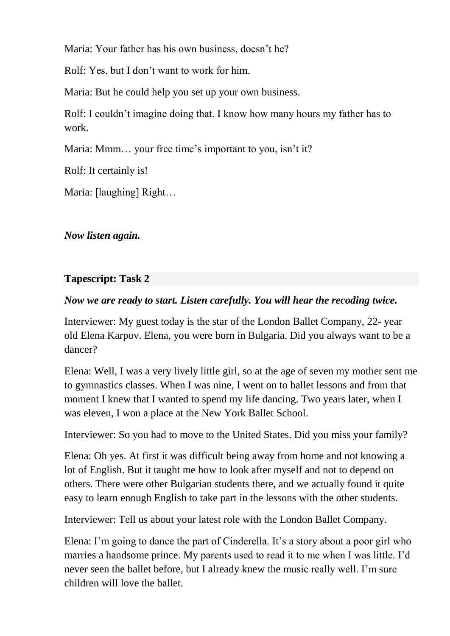Maria: Your father has his own business, doesn't he?

Rolf: Yes, but I don't want to work for him.

Maria: But he could help you set up your own business.

Rolf: I couldn't imagine doing that. I know how many hours my father has to work.

Maria: Mmm... your free time's important to you, isn't it?

Rolf: It certainly is!

Maria: [laughing] Right…

*Now listen again.*

### **Tapescript: Task 2**

### *Now we are ready to start. Listen carefully. You will hear the recoding twice.*

Interviewer: My guest today is the star of the London Ballet Company, 22- year old Elena Karpov. Elena, you were born in Bulgaria. Did you always want to be a dancer?

Elena: Well, I was a very lively little girl, so at the age of seven my mother sent me to gymnastics classes. When I was nine, I went on to ballet lessons and from that moment I knew that I wanted to spend my life dancing. Two years later, when I was eleven, I won a place at the New York Ballet School.

Interviewer: So you had to move to the United States. Did you miss your family?

Elena: Oh yes. At first it was difficult being away from home and not knowing a lot of English. But it taught me how to look after myself and not to depend on others. There were other Bulgarian students there, and we actually found it quite easy to learn enough English to take part in the lessons with the other students.

Interviewer: Tell us about your latest role with the London Ballet Company.

Elena: I'm going to dance the part of Cinderella. It's a story about a poor girl who marries a handsome prince. My parents used to read it to me when I was little. I'd never seen the ballet before, but I already knew the music really well. I'm sure children will love the ballet.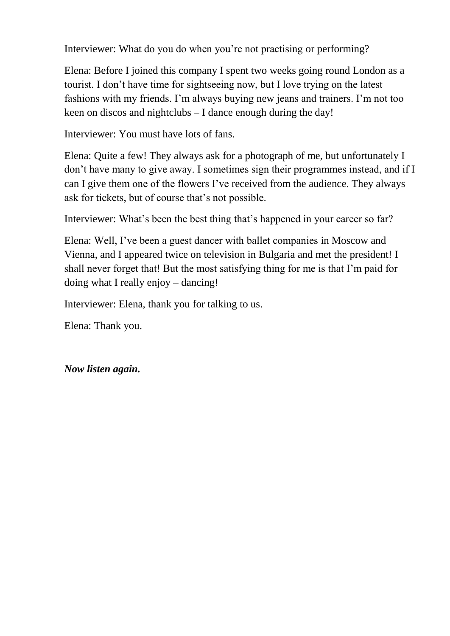Interviewer: What do you do when you're not practising or performing?

Elena: Before I joined this company I spent two weeks going round London as a tourist. I don't have time for sightseeing now, but I love trying on the latest fashions with my friends. I'm always buying new jeans and trainers. I'm not too keen on discos and nightclubs – I dance enough during the day!

Interviewer: You must have lots of fans.

Elena: Quite a few! They always ask for a photograph of me, but unfortunately I don't have many to give away. I sometimes sign their programmes instead, and if I can I give them one of the flowers I've received from the audience. They always ask for tickets, but of course that's not possible.

Interviewer: What's been the best thing that's happened in your career so far?

Elena: Well, I've been a guest dancer with ballet companies in Moscow and Vienna, and I appeared twice on television in Bulgaria and met the president! I shall never forget that! But the most satisfying thing for me is that I'm paid for doing what I really enjoy – dancing!

Interviewer: Elena, thank you for talking to us.

Elena: Thank you.

*Now listen again.*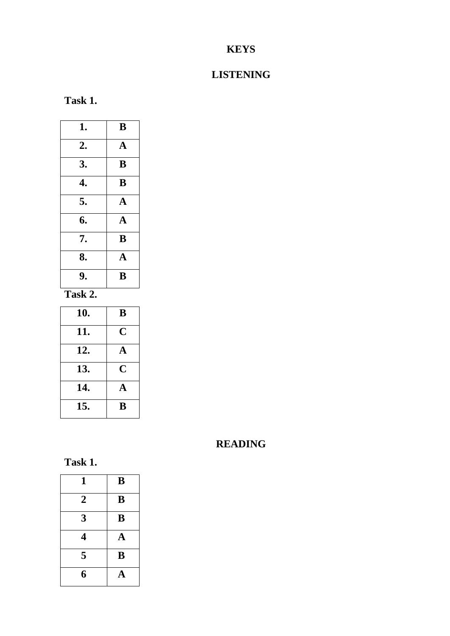## **KEYS**

## **LISTENING**

**Task 1.**

| 1. | B            |
|----|--------------|
| 2. | $\mathbf{A}$ |
| 3. | B            |
| 4. | B            |
| 5. | $\mathbf A$  |
| 6. | $\mathbf A$  |
| 7. | B            |
| 8. | $\mathbf A$  |
| 9. | B            |

**Task 2.** 

| 10. | B                       |
|-----|-------------------------|
| 11. | $\overline{\mathbf{C}}$ |
| 12. | A                       |
| 13. | $\overline{C}$          |
| 14. | $\mathbf{A}$            |
| 15. | B                       |

# **READING**



| 1              | B           |
|----------------|-------------|
| $\overline{2}$ | B           |
| 3              | B           |
| 4              | $\mathbf A$ |
| 5              | B           |
| 6              | A           |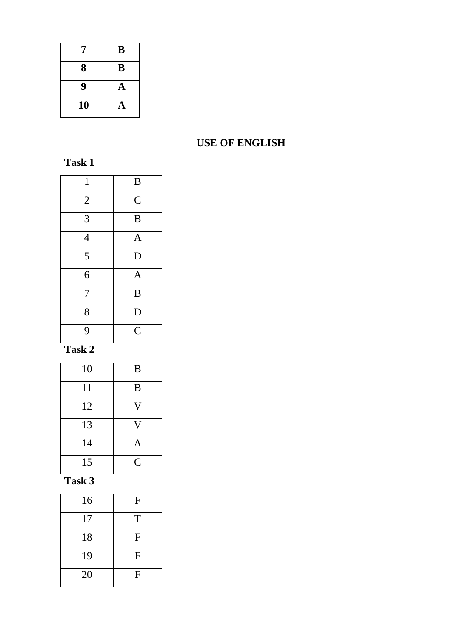| 7  | B |
|----|---|
| 8  | B |
| 9  | A |
| 10 | A |

### **USE OF ENGLISH**

| $\mathbf{1}$   | $\, {\bf B}$   |
|----------------|----------------|
| $\overline{2}$ | $\overline{C}$ |
| $\overline{3}$ | $\bf{B}$       |
| $\overline{4}$ | $\mathbf{A}$   |
| $\overline{5}$ | D              |
| 6              | $\mathbf{A}$   |
| $\overline{7}$ | B              |
| 8              | D              |
| $\overline{9}$ | $\overline{C}$ |

## **Task 2**

| 10 | B              |
|----|----------------|
| 11 | B              |
| 12 | V              |
| 13 | V              |
| 14 | A              |
| 15 | $\overline{C}$ |

# **Task 3**

| 16 | F |
|----|---|
| 17 | T |
| 18 | F |
| 19 | F |
| 20 | F |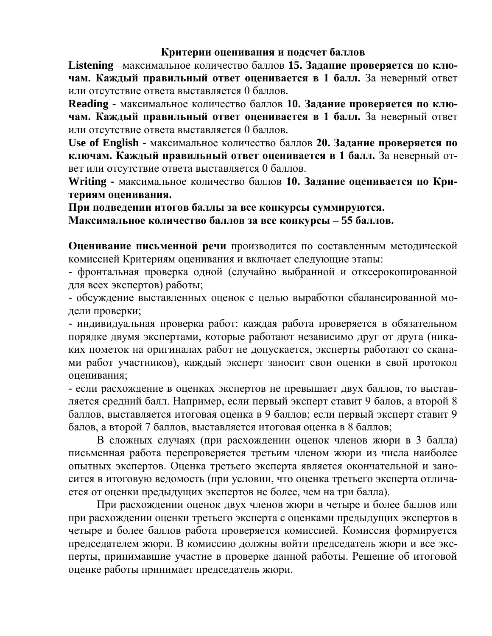#### **Критерии оценивания и подсчет баллов**

**Listening** –максимальное количество баллов **15. Задание проверяется по ключам. Каждый правильный ответ оценивается в 1 балл.** За неверный ответ или отсутствие ответа выставляется 0 баллов.

**Reading -** максимальное количество баллов **10. Задание проверяется по ключам. Каждый правильный ответ оценивается в 1 балл.** За неверный ответ или отсутствие ответа выставляется 0 баллов.

**Use of English -** максимальное количество баллов **20. Задание проверяется по ключам. Каждый правильный ответ оценивается в 1 балл.** За неверный ответ или отсутствие ответа выставляется 0 баллов.

**Writing -** максимальное количество баллов **10. Задание оценивается по Критериям оценивания.** 

**При подведении итогов баллы за все конкурсы суммируются.** 

**Максимальное количество баллов за все конкурсы – 55 баллов.**

**Оценивание письменной речи** производится по составленным методической комиссией Критериям оценивания и включает следующие этапы:

- фронтальная проверка одной (случайно выбранной и отксерокопированной для всех экспертов) работы;

- обсуждение выставленных оценок с целью выработки сбалансированной модели проверки;

- индивидуальная проверка работ: каждая работа проверяется в обязательном порядке двумя экспертами, которые работают независимо друг от друга (никаких пометок на оригиналах работ не допускается, эксперты работают со сканами работ участников), каждый эксперт заносит свои оценки в свой протокол оценивания;

- если расхождение в оценках экспертов не превышает двух баллов, то выставляется средний балл. Например, если первый эксперт ставит 9 балов, а второй 8 баллов, выставляется итоговая оценка в 9 баллов; если первый эксперт ставит 9 балов, а второй 7 баллов, выставляется итоговая оценка в 8 баллов;

В сложных случаях (при расхождении оценок членов жюри в 3 балла) письменная работа перепроверяется третьим членом жюри из числа наиболее опытных экспертов. Оценка третьего эксперта является окончательной и заносится в итоговую ведомость (при условии, что оценка третьего эксперта отличается от оценки предыдущих экспертов не более, чем на три балла).

При расхождении оценок двух членов жюри в четыре и более баллов или при расхождении оценки третьего эксперта с оценками предыдущих экспертов в четыре и более баллов работа проверяется комиссией. Комиссия формируется председателем жюри. В комиссию должны войти председатель жюри и все эксперты, принимавшие участие в проверке данной работы. Решение об итоговой оценке работы принимает председатель жюри.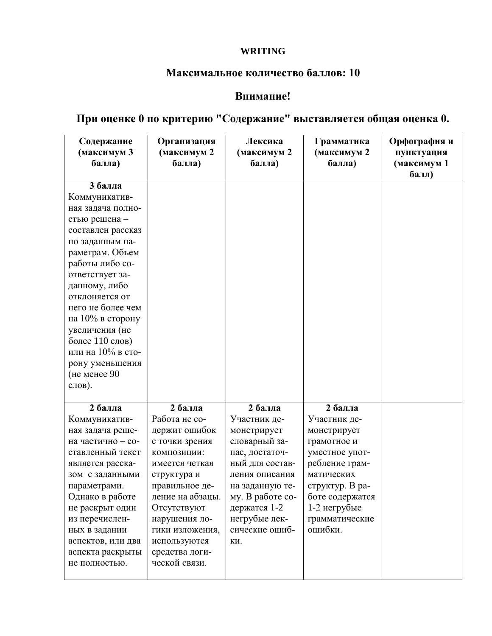### **WRITING**

#### **Максимальное количество баллов: 10**

### **Внимание!**

# **При оценке 0 по критерию "Содержание" выставляется общая оценка 0.**

| Содержание<br>(максимум 3<br>балла)                                                                                                                                                                                                                                                                                                                | Организация<br>(максимум 2<br>балла)                                                                                                                                                                                                                    | Лексика<br>(максимум 2<br>балла)                                                                                                                                                                                | Грамматика<br>(максимум 2<br>балла)                                                                                                                                                        | Орфография и<br>пунктуация<br>(максимум 1<br>балл) |
|----------------------------------------------------------------------------------------------------------------------------------------------------------------------------------------------------------------------------------------------------------------------------------------------------------------------------------------------------|---------------------------------------------------------------------------------------------------------------------------------------------------------------------------------------------------------------------------------------------------------|-----------------------------------------------------------------------------------------------------------------------------------------------------------------------------------------------------------------|--------------------------------------------------------------------------------------------------------------------------------------------------------------------------------------------|----------------------------------------------------|
| 3 балла<br>Коммуникатив-<br>ная задача полно-<br>стью решена -<br>составлен рассказ<br>по заданным па-<br>раметрам. Объем<br>работы либо со-<br>ответствует за-<br>данному, либо<br>отклоняется от<br>него не более чем<br>на 10% в сторону<br>увеличения (не<br>более 110 слов)<br>или на 10% в сто-<br>рону уменьшения<br>(не менее 90<br>слов). |                                                                                                                                                                                                                                                         |                                                                                                                                                                                                                 |                                                                                                                                                                                            |                                                    |
| 2 балла<br>Коммуникатив-<br>ная задача реше-<br>на частично - со-<br>ставленный текст<br>является расска-<br>зом с заданными<br>параметрами.<br>Однако в работе<br>не раскрыт один<br>из перечислен-<br>ных в задании<br>аспектов, или два<br>аспекта раскрыты<br>не полностью.                                                                    | 2 балла<br>Работа не со-<br>держит ошибок<br>с точки зрения<br>КОМПОЗИЦИИ:<br>имеется четкая<br>структура и<br>правильное де-<br>ление на абзацы.<br>Отсутствуют<br>нарушения ло-<br>гики изложения,<br>используются<br>средства логи-<br>ческой связи. | 2 балла<br>Участник де-<br>монстрирует<br>словарный за-<br>пас, достаточ-<br>ный для состав-<br>ления описания<br>на заданную те-<br>му. В работе со-<br>держатся 1-2<br>негрубые лек-<br>сические ошиб-<br>KИ. | 2 балла<br>Участник де-<br>монстрирует<br>грамотное и<br>уместное упот-<br>ребление грам-<br>матических<br>структур. В ра-<br>боте содержатся<br>1-2 негрубые<br>грамматические<br>ошибки. |                                                    |